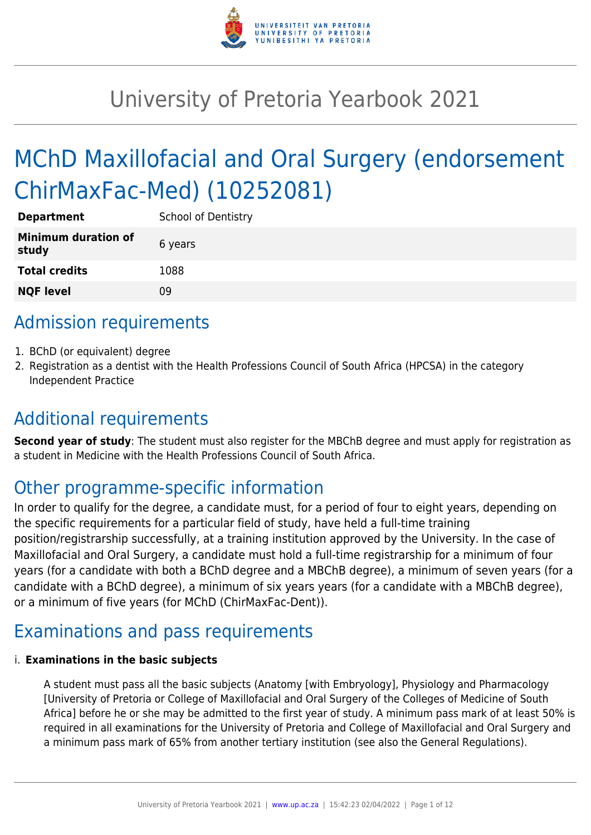

# University of Pretoria Yearbook 2021

# MChD Maxillofacial and Oral Surgery (endorsement ChirMaxFac-Med) (10252081)

| <b>Department</b>                   | <b>School of Dentistry</b> |
|-------------------------------------|----------------------------|
| <b>Minimum duration of</b><br>study | 6 years                    |
| <b>Total credits</b>                | 1088                       |
| <b>NQF level</b>                    | ΩÓ                         |

# Admission requirements

- 1. BChD (or equivalent) degree
- 2. Registration as a dentist with the Health Professions Council of South Africa (HPCSA) in the category Independent Practice

# Additional requirements

**Second year of study**: The student must also register for the MBChB degree and must apply for registration as a student in Medicine with the Health Professions Council of South Africa.

# Other programme-specific information

In order to qualify for the degree, a candidate must, for a period of four to eight years, depending on the specific requirements for a particular field of study, have held a full-time training position/registrarship successfully, at a training institution approved by the University. In the case of Maxillofacial and Oral Surgery, a candidate must hold a full-time registrarship for a minimum of four years (for a candidate with both a BChD degree and a MBChB degree), a minimum of seven years (for a candidate with a BChD degree), a minimum of six years years (for a candidate with a MBChB degree), or a minimum of five years (for MChD (ChirMaxFac-Dent)).

# Examinations and pass requirements

#### i. **Examinations in the basic subjects**

A student must pass all the basic subjects (Anatomy [with Embryology], Physiology and Pharmacology [University of Pretoria or College of Maxillofacial and Oral Surgery of the Colleges of Medicine of South Africa] before he or she may be admitted to the first year of study. A minimum pass mark of at least 50% is required in all examinations for the University of Pretoria and College of Maxillofacial and Oral Surgery and a minimum pass mark of 65% from another tertiary institution (see also the General Regulations).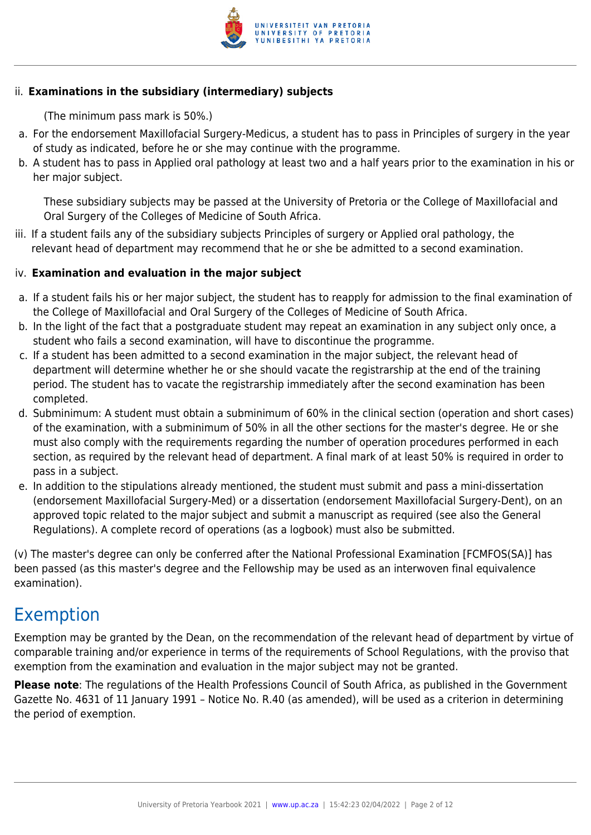

#### ii. **Examinations in the subsidiary (intermediary) subjects**

(The minimum pass mark is 50%.)

- a. For the endorsement Maxillofacial Surgery-Medicus, a student has to pass in Principles of surgery in the year of study as indicated, before he or she may continue with the programme.
- b. A student has to pass in Applied oral pathology at least two and a half years prior to the examination in his or her major subject.

These subsidiary subjects may be passed at the University of Pretoria or the College of Maxillofacial and Oral Surgery of the Colleges of Medicine of South Africa.

iii. If a student fails any of the subsidiary subjects Principles of surgery or Applied oral pathology, the relevant head of department may recommend that he or she be admitted to a second examination.

#### iv. **Examination and evaluation in the major subject**

- a. If a student fails his or her major subject, the student has to reapply for admission to the final examination of the College of Maxillofacial and Oral Surgery of the Colleges of Medicine of South Africa.
- b. In the light of the fact that a postgraduate student may repeat an examination in any subject only once, a student who fails a second examination, will have to discontinue the programme.
- c. If a student has been admitted to a second examination in the major subject, the relevant head of department will determine whether he or she should vacate the registrarship at the end of the training period. The student has to vacate the registrarship immediately after the second examination has been completed.
- d. Subminimum: A student must obtain a subminimum of 60% in the clinical section (operation and short cases) of the examination, with a subminimum of 50% in all the other sections for the master's degree. He or she must also comply with the requirements regarding the number of operation procedures performed in each section, as required by the relevant head of department. A final mark of at least 50% is required in order to pass in a subject.
- e. In addition to the stipulations already mentioned, the student must submit and pass a mini-dissertation (endorsement Maxillofacial Surgery-Med) or a dissertation (endorsement Maxillofacial Surgery-Dent), on an approved topic related to the major subject and submit a manuscript as required (see also the General Regulations). A complete record of operations (as a logbook) must also be submitted.

(v) The master's degree can only be conferred after the National Professional Examination [FCMFOS(SA)] has been passed (as this master's degree and the Fellowship may be used as an interwoven final equivalence examination).

## Exemption

Exemption may be granted by the Dean, on the recommendation of the relevant head of department by virtue of comparable training and/or experience in terms of the requirements of School Regulations, with the proviso that exemption from the examination and evaluation in the major subject may not be granted.

**Please note**: The regulations of the Health Professions Council of South Africa, as published in the Government Gazette No. 4631 of 11 January 1991 – Notice No. R.40 (as amended), will be used as a criterion in determining the period of exemption.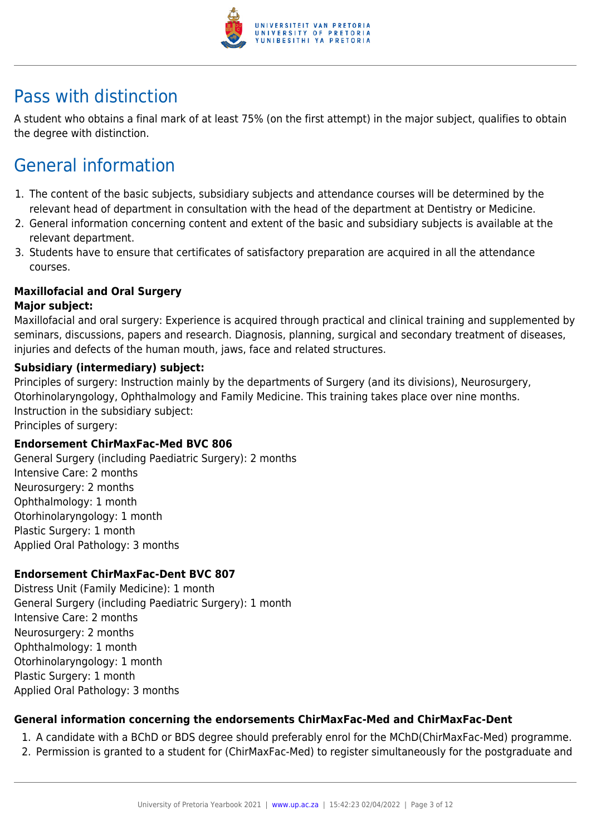

# Pass with distinction

A student who obtains a final mark of at least 75% (on the first attempt) in the major subject, qualifies to obtain the degree with distinction.

# General information

- 1. The content of the basic subjects, subsidiary subjects and attendance courses will be determined by the relevant head of department in consultation with the head of the department at Dentistry or Medicine.
- 2. General information concerning content and extent of the basic and subsidiary subjects is available at the relevant department.
- 3. Students have to ensure that certificates of satisfactory preparation are acquired in all the attendance courses.

#### **Maxillofacial and Oral Surgery**

#### **Major subject:**

Maxillofacial and oral surgery: Experience is acquired through practical and clinical training and supplemented by seminars, discussions, papers and research. Diagnosis, planning, surgical and secondary treatment of diseases, injuries and defects of the human mouth, jaws, face and related structures.

#### **Subsidiary (intermediary) subject:**

Principles of surgery: Instruction mainly by the departments of Surgery (and its divisions), Neurosurgery, Otorhinolaryngology, Ophthalmology and Family Medicine. This training takes place over nine months. Instruction in the subsidiary subject:

Principles of surgery:

#### **Endorsement ChirMaxFac-Med BVC 806**

General Surgery (including Paediatric Surgery): 2 months Intensive Care: 2 months Neurosurgery: 2 months Ophthalmology: 1 month Otorhinolaryngology: 1 month Plastic Surgery: 1 month Applied Oral Pathology: 3 months

#### **Endorsement ChirMaxFac-Dent BVC 807**

Distress Unit (Family Medicine): 1 month General Surgery (including Paediatric Surgery): 1 month Intensive Care: 2 months Neurosurgery: 2 months Ophthalmology: 1 month Otorhinolaryngology: 1 month Plastic Surgery: 1 month Applied Oral Pathology: 3 months

#### **General information concerning the endorsements ChirMaxFac-Med and ChirMaxFac-Dent**

- 1. A candidate with a BChD or BDS degree should preferably enrol for the MChD(ChirMaxFac-Med) programme.
- 2. Permission is granted to a student for (ChirMaxFac-Med) to register simultaneously for the postgraduate and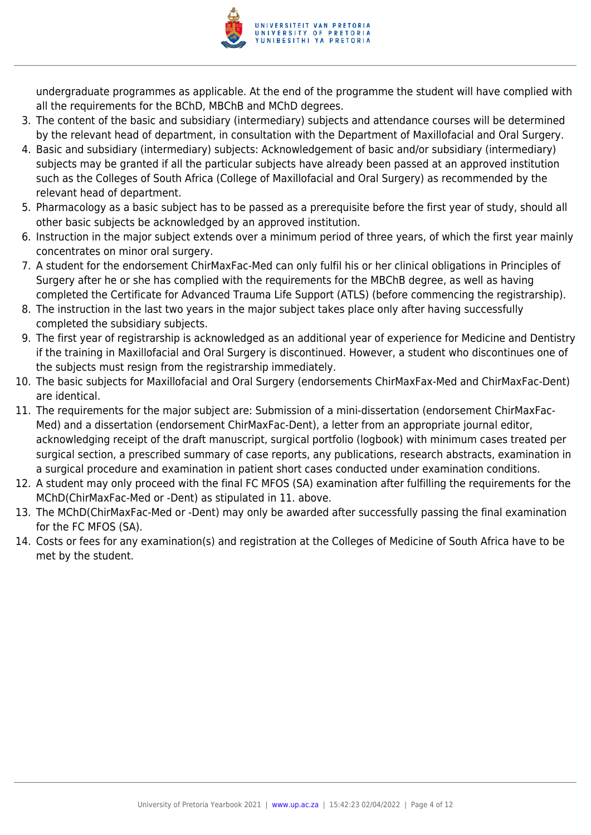

undergraduate programmes as applicable. At the end of the programme the student will have complied with all the requirements for the BChD, MBChB and MChD degrees.

- 3. The content of the basic and subsidiary (intermediary) subjects and attendance courses will be determined by the relevant head of department, in consultation with the Department of Maxillofacial and Oral Surgery.
- 4. Basic and subsidiary (intermediary) subjects: Acknowledgement of basic and/or subsidiary (intermediary) subjects may be granted if all the particular subjects have already been passed at an approved institution such as the Colleges of South Africa (College of Maxillofacial and Oral Surgery) as recommended by the relevant head of department.
- 5. Pharmacology as a basic subject has to be passed as a prerequisite before the first year of study, should all other basic subjects be acknowledged by an approved institution.
- 6. Instruction in the major subject extends over a minimum period of three years, of which the first year mainly concentrates on minor oral surgery.
- 7. A student for the endorsement ChirMaxFac-Med can only fulfil his or her clinical obligations in Principles of Surgery after he or she has complied with the requirements for the MBChB degree, as well as having completed the Certificate for Advanced Trauma Life Support (ATLS) (before commencing the registrarship).
- 8. The instruction in the last two years in the major subject takes place only after having successfully completed the subsidiary subjects.
- 9. The first year of registrarship is acknowledged as an additional year of experience for Medicine and Dentistry if the training in Maxillofacial and Oral Surgery is discontinued. However, a student who discontinues one of the subjects must resign from the registrarship immediately.
- 10. The basic subjects for Maxillofacial and Oral Surgery (endorsements ChirMaxFax-Med and ChirMaxFac-Dent) are identical.
- 11. The requirements for the major subject are: Submission of a mini-dissertation (endorsement ChirMaxFac-Med) and a dissertation (endorsement ChirMaxFac-Dent), a letter from an appropriate journal editor, acknowledging receipt of the draft manuscript, surgical portfolio (logbook) with minimum cases treated per surgical section, a prescribed summary of case reports, any publications, research abstracts, examination in a surgical procedure and examination in patient short cases conducted under examination conditions.
- 12. A student may only proceed with the final FC MFOS (SA) examination after fulfilling the requirements for the MChD(ChirMaxFac-Med or -Dent) as stipulated in 11. above.
- 13. The MChD(ChirMaxFac-Med or -Dent) may only be awarded after successfully passing the final examination for the FC MFOS (SA).
- 14. Costs or fees for any examination(s) and registration at the Colleges of Medicine of South Africa have to be met by the student.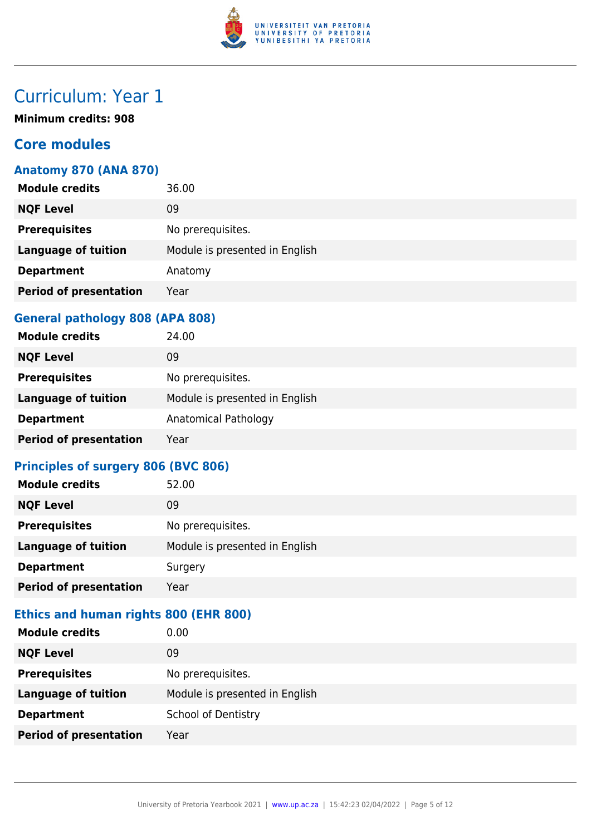

**Minimum credits: 908**

### **Core modules**

#### **Anatomy 870 (ANA 870)**

| <b>Module credits</b>         | 36.00                          |
|-------------------------------|--------------------------------|
| <b>NQF Level</b>              | 09                             |
| <b>Prerequisites</b>          | No prerequisites.              |
| <b>Language of tuition</b>    | Module is presented in English |
| <b>Department</b>             | Anatomy                        |
| <b>Period of presentation</b> | Year                           |
|                               |                                |

### **General pathology 808 (APA 808)**

| <b>Module credits</b>         | 24.00                          |
|-------------------------------|--------------------------------|
| <b>NQF Level</b>              | 09                             |
| <b>Prerequisites</b>          | No prerequisites.              |
| <b>Language of tuition</b>    | Module is presented in English |
| <b>Department</b>             | Anatomical Pathology           |
| <b>Period of presentation</b> | Year                           |

### **Principles of surgery 806 (BVC 806)**

| <b>Module credits</b>         | 52.00                          |
|-------------------------------|--------------------------------|
| <b>NQF Level</b>              | 09                             |
| <b>Prerequisites</b>          | No prerequisites.              |
| <b>Language of tuition</b>    | Module is presented in English |
| <b>Department</b>             | Surgery                        |
| <b>Period of presentation</b> | Year                           |

### **Ethics and human rights 800 (EHR 800)**

| <b>Module credits</b>         | 0.00                           |
|-------------------------------|--------------------------------|
| <b>NQF Level</b>              | 09                             |
| <b>Prerequisites</b>          | No prerequisites.              |
| <b>Language of tuition</b>    | Module is presented in English |
| <b>Department</b>             | <b>School of Dentistry</b>     |
| <b>Period of presentation</b> | Year                           |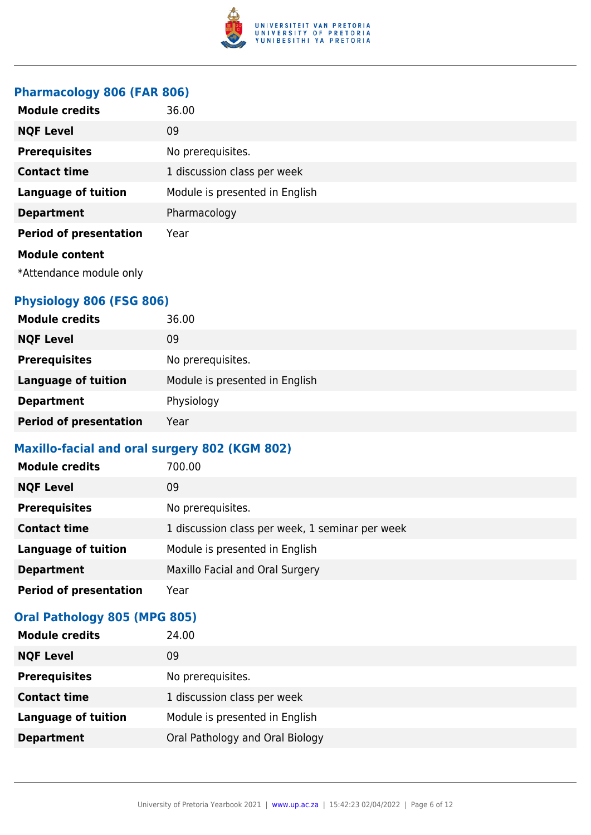

#### **Pharmacology 806 (FAR 806)**

| <b>Module credits</b>                            | 36.00                          |
|--------------------------------------------------|--------------------------------|
| <b>NQF Level</b>                                 | 09                             |
| <b>Prerequisites</b>                             | No prerequisites.              |
| <b>Contact time</b>                              | 1 discussion class per week    |
| <b>Language of tuition</b>                       | Module is presented in English |
| <b>Department</b>                                | Pharmacology                   |
| <b>Period of presentation</b>                    | Year                           |
| <b>Module content</b><br>*Attendance module only |                                |

### **Physiology 806 (FSG 806)**

| <b>Module credits</b>         | 36.00                          |
|-------------------------------|--------------------------------|
| <b>NQF Level</b>              | 09                             |
| <b>Prerequisites</b>          | No prerequisites.              |
| <b>Language of tuition</b>    | Module is presented in English |
| <b>Department</b>             | Physiology                     |
| <b>Period of presentation</b> | Year                           |

### **Maxillo-facial and oral surgery 802 (KGM 802)**

| <b>Module credits</b>         | 700.00                                          |
|-------------------------------|-------------------------------------------------|
| <b>NQF Level</b>              | 09                                              |
| <b>Prerequisites</b>          | No prerequisites.                               |
| <b>Contact time</b>           | 1 discussion class per week, 1 seminar per week |
| <b>Language of tuition</b>    | Module is presented in English                  |
| <b>Department</b>             | Maxillo Facial and Oral Surgery                 |
| <b>Period of presentation</b> | Year                                            |

#### **Oral Pathology 805 (MPG 805)**

| <b>Module credits</b>      | 24.00                           |
|----------------------------|---------------------------------|
| <b>NQF Level</b>           | 09                              |
| <b>Prerequisites</b>       | No prerequisites.               |
| <b>Contact time</b>        | 1 discussion class per week     |
| <b>Language of tuition</b> | Module is presented in English  |
| <b>Department</b>          | Oral Pathology and Oral Biology |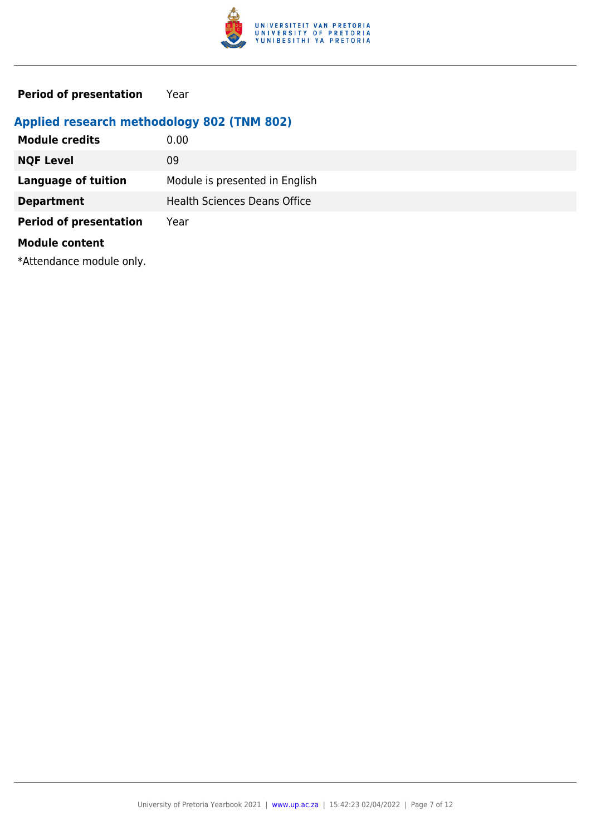

**Period of presentation** Year

### **Applied research methodology 802 (TNM 802)**

| <b>Module credits</b>         | 0.00                                |
|-------------------------------|-------------------------------------|
| <b>NQF Level</b>              | 09                                  |
| <b>Language of tuition</b>    | Module is presented in English      |
| <b>Department</b>             | <b>Health Sciences Deans Office</b> |
| <b>Period of presentation</b> | Year                                |
| <b>Module content</b>         |                                     |

\*Attendance module only.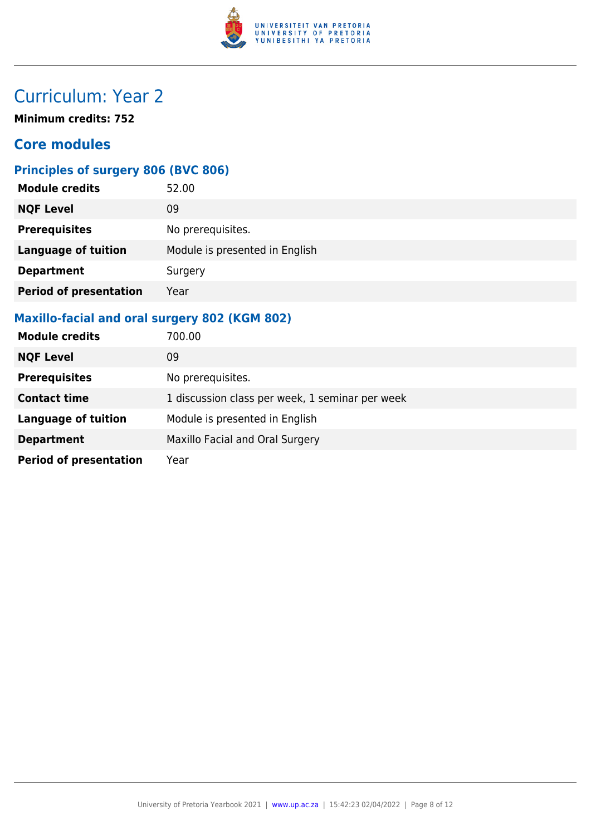

**Minimum credits: 752**

### **Core modules**

### **Principles of surgery 806 (BVC 806)**

| <b>Module credits</b>         | 52.00                          |
|-------------------------------|--------------------------------|
| <b>NQF Level</b>              | 09                             |
| <b>Prerequisites</b>          | No prerequisites.              |
| <b>Language of tuition</b>    | Module is presented in English |
| <b>Department</b>             | Surgery                        |
| <b>Period of presentation</b> | Year                           |

### **Maxillo-facial and oral surgery 802 (KGM 802)**

| <b>Module credits</b>         | 700.00                                          |
|-------------------------------|-------------------------------------------------|
| <b>NQF Level</b>              | 09                                              |
| <b>Prerequisites</b>          | No prerequisites.                               |
| <b>Contact time</b>           | 1 discussion class per week, 1 seminar per week |
| <b>Language of tuition</b>    | Module is presented in English                  |
| <b>Department</b>             | Maxillo Facial and Oral Surgery                 |
| <b>Period of presentation</b> | Year                                            |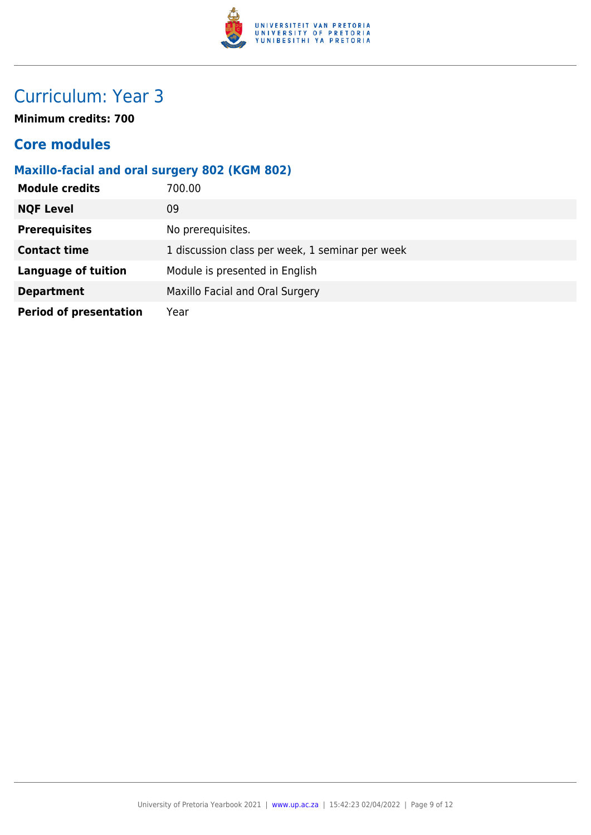

**Minimum credits: 700**

### **Core modules**

### **Maxillo-facial and oral surgery 802 (KGM 802)**

| <b>Module credits</b>         | 700.00                                          |
|-------------------------------|-------------------------------------------------|
| <b>NQF Level</b>              | 09                                              |
| <b>Prerequisites</b>          | No prerequisites.                               |
| <b>Contact time</b>           | 1 discussion class per week, 1 seminar per week |
| <b>Language of tuition</b>    | Module is presented in English                  |
| <b>Department</b>             | Maxillo Facial and Oral Surgery                 |
| <b>Period of presentation</b> | Year                                            |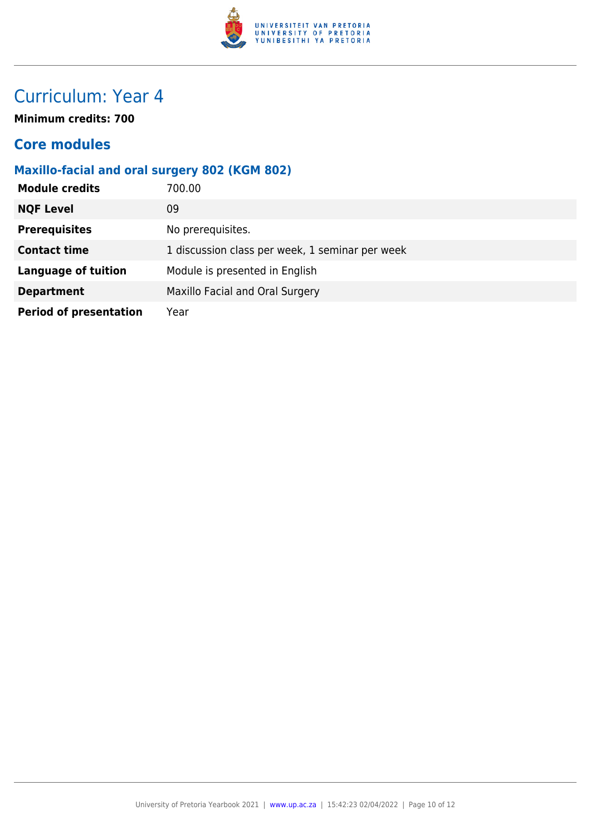

**Minimum credits: 700**

### **Core modules**

### **Maxillo-facial and oral surgery 802 (KGM 802)**

| <b>Module credits</b>         | 700.00                                          |
|-------------------------------|-------------------------------------------------|
| <b>NQF Level</b>              | 09                                              |
| <b>Prerequisites</b>          | No prerequisites.                               |
| <b>Contact time</b>           | 1 discussion class per week, 1 seminar per week |
| <b>Language of tuition</b>    | Module is presented in English                  |
| <b>Department</b>             | Maxillo Facial and Oral Surgery                 |
| <b>Period of presentation</b> | Year                                            |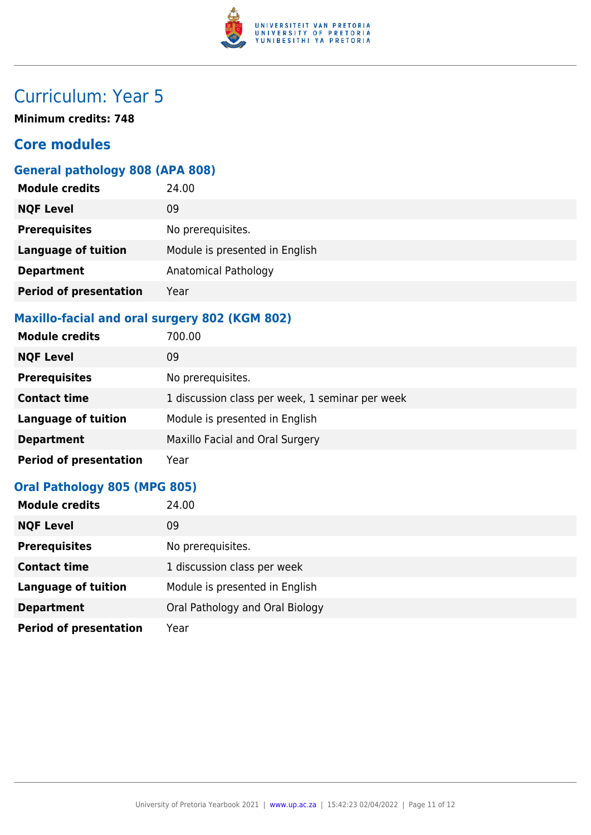

**Minimum credits: 748**

### **Core modules**

### **General pathology 808 (APA 808)**

| <b>Module credits</b>         | 24.00                          |
|-------------------------------|--------------------------------|
| <b>NQF Level</b>              | 09                             |
| <b>Prerequisites</b>          | No prerequisites.              |
| <b>Language of tuition</b>    | Module is presented in English |
| <b>Department</b>             | <b>Anatomical Pathology</b>    |
| <b>Period of presentation</b> | Year                           |
|                               |                                |

### **Maxillo-facial and oral surgery 802 (KGM 802)**

| <b>Module credits</b>         | 700.00                                          |
|-------------------------------|-------------------------------------------------|
| <b>NQF Level</b>              | 09                                              |
| <b>Prerequisites</b>          | No prerequisites.                               |
| <b>Contact time</b>           | 1 discussion class per week, 1 seminar per week |
| <b>Language of tuition</b>    | Module is presented in English                  |
| <b>Department</b>             | Maxillo Facial and Oral Surgery                 |
| <b>Period of presentation</b> | Year                                            |

#### **Oral Pathology 805 (MPG 805)**

| <b>Module credits</b>         | 24.00                           |
|-------------------------------|---------------------------------|
| <b>NQF Level</b>              | 09                              |
| <b>Prerequisites</b>          | No prerequisites.               |
| <b>Contact time</b>           | 1 discussion class per week     |
| <b>Language of tuition</b>    | Module is presented in English  |
| <b>Department</b>             | Oral Pathology and Oral Biology |
| <b>Period of presentation</b> | Year                            |